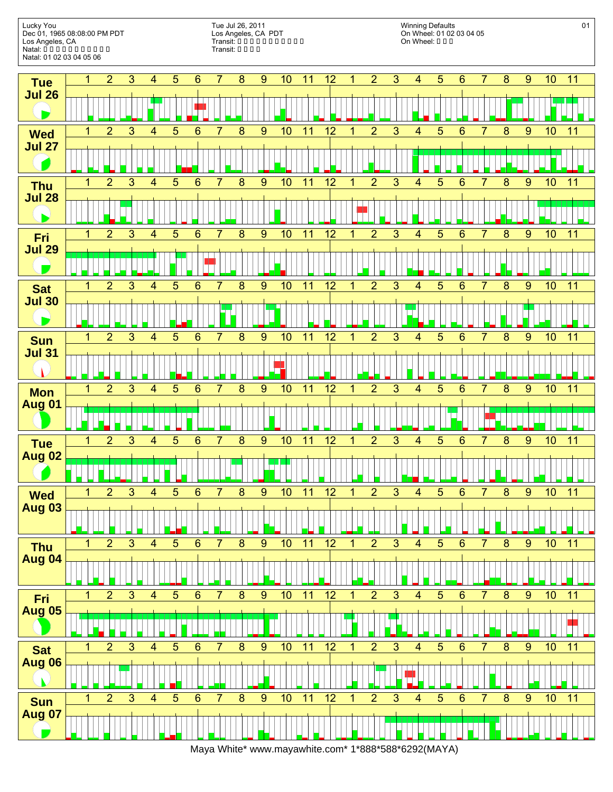

Maya White\* www.mayawhite.com\* 1\*888\*588\*6292(MAYA)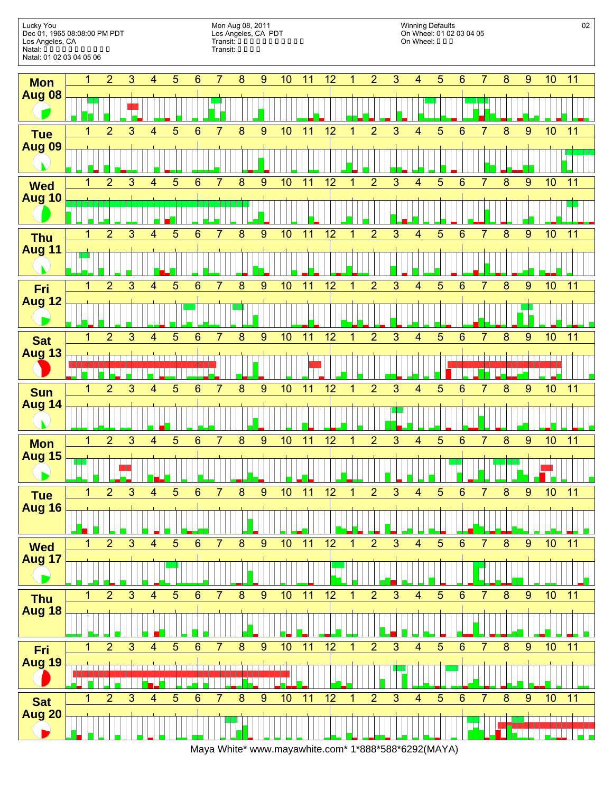

Maya White\* www.mayawhite.com\* 1\*888\*588\*6292(MAYA)